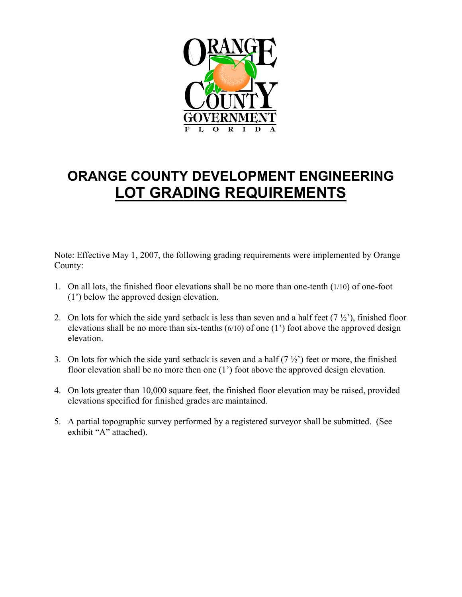

# **ORANGE COUNTY DEVELOPMENT ENGINEERING LOT GRADING REQUIREMENTS**

Note: Effective May 1, 2007, the following grading requirements were implemented by Orange County:

- 1. On all lots, the finished floor elevations shall be no more than one-tenth (1/10) of one-foot (1') below the approved design elevation.
- 2. On lots for which the side yard setback is less than seven and a half feet  $(7 \frac{1}{2})$ , finished floor elevations shall be no more than six-tenths (6/10) of one (1') foot above the approved design elevation.
- 3. On lots for which the side yard setback is seven and a half  $(7 \frac{1}{2})$  feet or more, the finished floor elevation shall be no more then one (1') foot above the approved design elevation.
- 4. On lots greater than 10,000 square feet, the finished floor elevation may be raised, provided elevations specified for finished grades are maintained.
- 5. A partial topographic survey performed by a registered surveyor shall be submitted. (See exhibit "A" attached).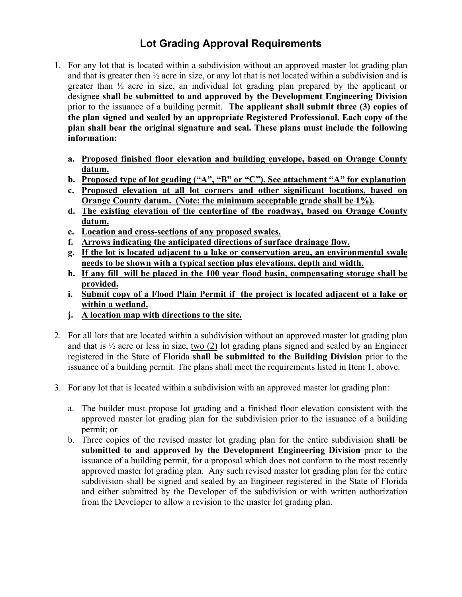## **Lot Grading Approval Requirements**  Lot Grading Approval Requirements

- 1. For any lot that is located within a subdivision without an approved master lot grading plan and that is greater then ½ acre in size, or any lot that is not located within a subdivision and is greater than ½ acre in size, an individual lot grading plan prepared by the applicant or designee **shall be submitted to and approved by the Development Engineering Division** prior to the issuance of a building permit. **The applicant shall submit three (3) copies of the plan signed and sealed by an appropriate Registered Professional. Each copy of the plan shall bear the original signature and seal. These plans must include the following information:**
	- **a. Proposed finished floor elevation and building envelope, based on Orange County datum.**
	- **b. Proposed type of lot grading ("A", "B" or "C"). See attachment "A" for explanation**
	- **c. Proposed elevation at all lot corners and other significant locations, based on Orange County datum. (Note: the minimum acceptable grade shall be 1%).**
	- **d. The existing elevation of the centerline of the roadway, based on Orange County datum.**
	- **e. Location and cross-sections of any proposed swales.**
	- **f. Arrows indicating the anticipated directions of surface drainage flow.**
	- **g. If the lot is located adjacent to a lake or conservation area, an environmental swale needs to be shown with a typical section plus elevations, depth and width.**
	- **h. If any fill will be placed in the 100 year flood basin, compensating storage shall be provided.**
	- **i. Submit copy of a Flood Plain Permit if the project is located adjacent ot a lake or within a wetland.**
	- **j. A location map with directions to the site.**
- 2. For all lots that are located within a subdivision without an approved master lot grading plan and that is  $\frac{1}{2}$  acre or less in size, two (2) lot grading plans signed and sealed by an Engineer registered in the State of Florida **shall be submitted to the Building Division** prior to the issuance of a building permit. The plans shall meet the requirements listed in Item 1, above.
- 3. For any lot that is located within a subdivision with an approved master lot grading plan:
	- a. The builder must propose lot grading and a finished floor elevation consistent with the approved master lot grading plan for the subdivision prior to the issuance of a building permit; or
	- b. Three copies of the revised master lot grading plan for the entire subdivision **shall be submitted to and approved by the Development Engineering Division** prior to the issuance of a building permit, for a proposal which does not conform to the most recently approved master lot grading plan. Any such revised master lot grading plan for the entire subdivision shall be signed and sealed by an Engineer registered in the State of Florida and either submitted by the Developer of the subdivision or with written authorization from the Developer to allow a revision to the master lot grading plan.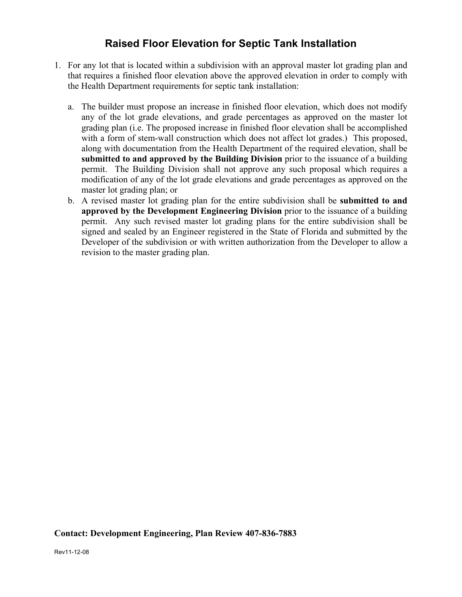### **Raised Floor Elevation for Septic Tank Installation**

- 1. For any lot that is located within a subdivision with an approval master lot grading plan and that requires a finished floor elevation above the approved elevation in order to comply with the Health Department requirements for septic tank installation:
	- a. The builder must propose an increase in finished floor elevation, which does not modify any of the lot grade elevations, and grade percentages as approved on the master lot grading plan (i.e. The proposed increase in finished floor elevation shall be accomplished with a form of stem-wall construction which does not affect lot grades.) This proposed, along with documentation from the Health Department of the required elevation, shall be **submitted to and approved by the Building Division** prior to the issuance of a building permit. The Building Division shall not approve any such proposal which requires a modification of any of the lot grade elevations and grade percentages as approved on the master lot grading plan; or
	- b. A revised master lot grading plan for the entire subdivision shall be **submitted to and approved by the Development Engineering Division** prior to the issuance of a building permit. Any such revised master lot grading plans for the entire subdivision shall be signed and sealed by an Engineer registered in the State of Florida and submitted by the Developer of the subdivision or with written authorization from the Developer to allow a revision to the master grading plan.

#### **Contact: Development Engineering, Plan Review 407-836-7883**